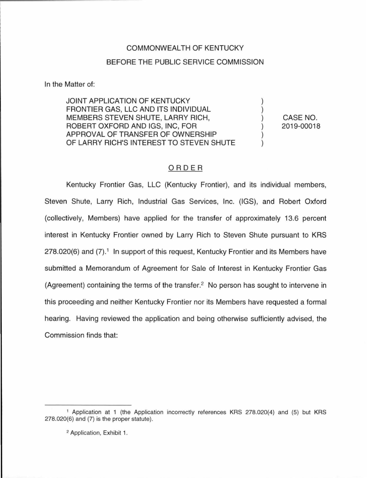## COMMONWEALTH OF KENTUCKY BEFORE THE PUBLIC SERVICE COMMISSION

In the Matter of:

JOINT APPLICATION OF KENTUCKY FRONTIER GAS, LLC AND ITS INDIVIDUAL MEMBERS STEVEN SHUTE, LARRY RICH, ROBERT OXFORD AND IGS, INC, FOR APPROVAL OF TRANSFER OF OWNERSHIP OF LARRY RICH'S INTEREST TO STEVEN SHUTE

CASE NO. 2019-00018

) ) ) ) ) )

## ORDER

Kentucky Frontier Gas, LLC (Kentucky Frontier), and its individual members, Steven Shute, Larry Rich, Industrial Gas Services, Inc. (IGS), and Robert Oxford (collectively, Members) have applied for the transfer of approximately 13.6 percent interest in Kentucky Frontier owned by Larry Rich to Steven Shute pursuant to KRS  $278.020(6)$  and  $(7)$ .<sup>1</sup> In support of this request, Kentucky Frontier and its Members have submitted a Memorandum of Agreement for Sale of Interest in Kentucky Frontier Gas (Agreement) containing the terms of the transfer.2 No person has sought to intervene in this proceeding and neither Kentucky Frontier nor its Members have requested a formal hearing. Having reviewed the application and being otherwise sufficiently advised, the Commission finds that:

<sup>1</sup>Application at 1 (the Application incorrectly references KRS 278.020(4) and (5) but KRS 278.020(6) and (7) is the proper statute).

<sup>2</sup> Application, Exhibit 1.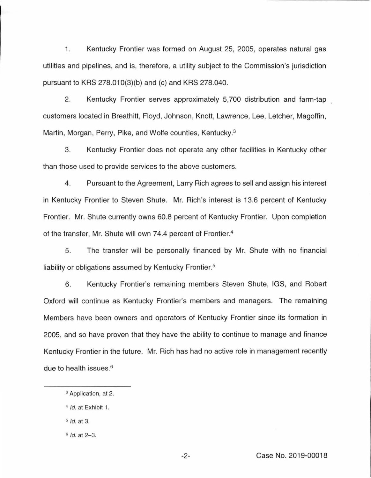1. Kentucky Frontier was formed on August 25, 2005, operates natural gas utilities and pipelines, and is, therefore, a utility subject to the Commission's jurisdiction pursuant to KRS 278.010(3)(b) and (c) and KRS 278.040.

2. Kentucky Frontier serves approximately 5,700 distribution and farm-tap customers located in Breathitt, Floyd, Johnson, Knott, Lawrence, Lee, Letcher, Magoffin, Martin, Morgan, Perry, Pike, and Wolfe counties, Kentucky.<sup>3</sup>

3. Kentucky Frontier does not operate any other facilities in Kentucky other than those used to provide services to the above customers.

4. Pursuant to the Agreement, Larry Rich agrees to sell and assign his interest in Kentucky Frontier to Steven Shute. Mr. Rich's interest is 13.6 percent of Kentucky Frontier. Mr. Shute currently owns 60.8 percent of Kentucky Frontier. Upon completion of the transfer, Mr. Shute will own 74.4 percent of Frontier. 4

5. The transfer will be personally financed by Mr. Shute with no financial liability or obligations assumed by Kentucky Frontier.<sup>5</sup>

6. Kentucky Frontier's remaining members Steven Shute, IGS, and Robert Oxford will continue as Kentucky Frontier's members and managers. The remaining Members have been owners and operators of Kentucky Frontier since its formation in 2005, and so have proven that they have the ability to continue to manage and finance Kentucky Frontier in the future. Mr. Rich has had no active role in management recently due to health issues. 6

- $5$  *Id.* at 3.
- $6$  *Id.* at  $2-3$ .

<sup>3</sup> Application, at 2.

<sup>&</sup>lt;sup>4</sup> *Id.* at Exhibit 1.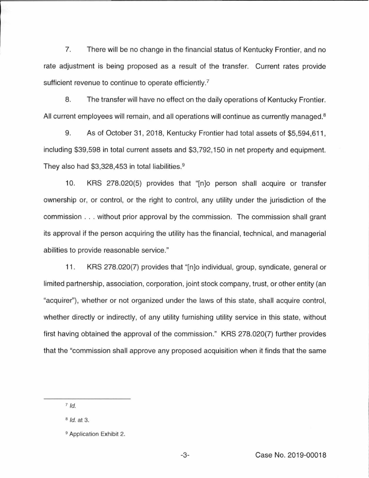7. There will be no change in the financial status of Kentucky Frontier, and no rate adjustment is being proposed as a result of the transfer. Current rates provide sufficient revenue to continue to operate efficiently.<sup>7</sup>

8. The transfer will have no effect on the daily operations of Kentucky Frontier. All current employees will remain, and all operations will continue as currently managed.<sup>8</sup>

9. As of October 31, 2018, Kentucky Frontier had total assets of \$5,594,611, including \$39,598 in total current assets and \$3,792, 150 in net property and equipment. They also had \$3,328,453 in total liabilities.<sup>9</sup>

10. KRS 278.020(5) provides that "[n]o person shall acquire or transfer ownership or, or control, or the right to control, any utility under the jurisdiction of the commission ... without prior approval by the commission. The commission shall grant its approval if the person acquiring the utility has the financial, technical, and managerial abilities to provide reasonable service."

11 . KRS 278.020(7) provides that "[n]o individual, group, syndicate, general or limited partnership, association, corporation, joint stock company, trust, or other entity (an "acquirer"), whether or not organized under the laws of this state, shall acquire control, whether directly or indirectly, of any utility furnishing utility service in this state, without first having obtained the approval of the commission." KRS 278.020(7) further provides that the "commission shall approve any proposed acquisition when it finds that the same

 $7$  Id.

<sup>&</sup>lt;sup>8</sup> *Id.* at 3.

<sup>&</sup>lt;sup>9</sup> Application Exhibit 2.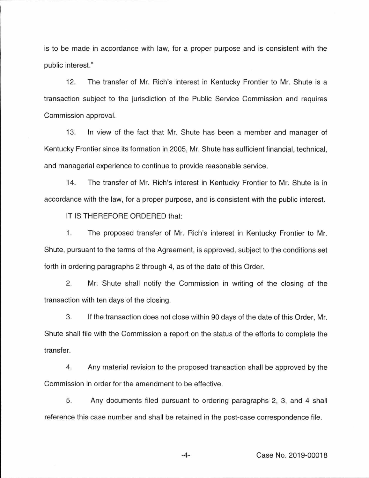is to be made in accordance with law, for a proper purpose and is consistent with the public interest."

12. The transfer of Mr. Rich's interest in Kentucky Frontier to Mr. Shute is a transaction subject to the jurisdiction of the Public Service Commission and requires Commission approval.

13. In view of the fact that Mr. Shute has been a member and manager of Kentucky Frontier since its formation in 2005, Mr. Shute has sufficient financial, technical, and managerial experience to continue to provide reasonable service.

14. The transfer of Mr. Rich's interest in Kentucky Frontier to Mr. Shute is in accordance with the law, for a proper purpose, and is consistent with the public interest.

IT IS THEREFORE ORDERED that:

1. The proposed transfer of Mr. Rich's interest in Kentucky Frontier to Mr. Shute, pursuant to the terms of the Agreement, is approved, subject to the conditions set forth in ordering paragraphs 2 through 4, as of the date of this Order.

2. Mr. Shute shall notify the Commission in writing of the closing of the transaction with ten days of the closing.

3. If the transaction does not close within 90 days of the date of this Order, Mr. Shute shall file with the Commission a report on the status of the efforts to complete the transfer.

4. Any material revision to the proposed transaction shall be approved by the Commission in order for the amendment to be effective.

5. Any documents filed pursuant to ordering paragraphs 2, 3, and 4 shall reference this case number and shall be retained in the post-case correspondence file.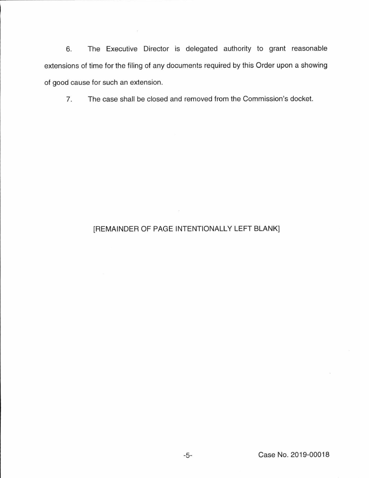6. The Executive Director is delegated authority to grant reasonable extensions of time for the filing of any documents required by this Order upon a showing of good cause for such an extension.

 $\mathcal{F}$ 

7. The case shall be closed and removed from the Commission's docket.

## [REMAINDER OF PAGE INTENTIONALLY LEFT BLANK]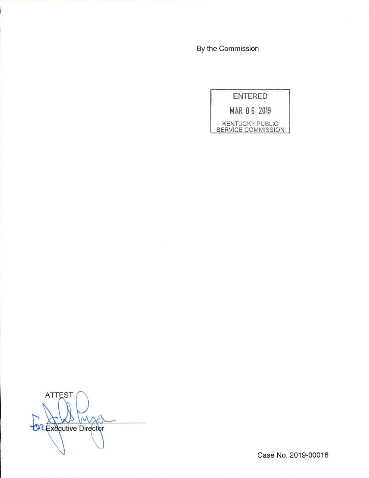By the Commission

**ENTERED** 

**MAR 0 6 2019** 

KENTUCKY PUBLIC SERVICE COMMISSION

**ATTEST: OLExecutive Director** 

Case No. 2019-00018